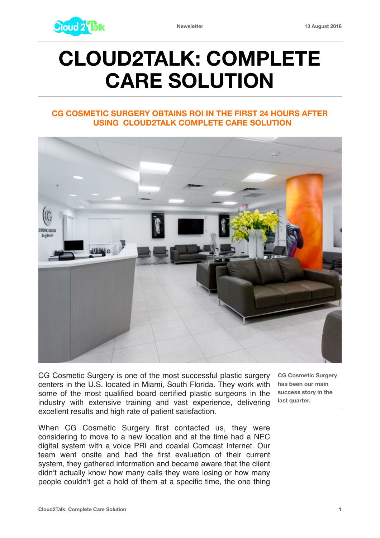

## **CLOUD2TALK: COMPLETE CARE SOLUTION**

## **CG COSMETIC SURGERY OBTAINS ROI IN THE FIRST 24 HOURS AFTER USING CLOUD2TALK COMPLETE CARE SOLUTION**



CG Cosmetic Surgery is one of the most successful plastic surgery centers in the U.S. located in Miami, South Florida. They work with some of the most qualified board certified plastic surgeons in the industry with extensive training and vast experience, delivering excellent results and high rate of patient satisfaction.

When CG Cosmetic Surgery first contacted us, they were considering to move to a new location and at the time had a NEC digital system with a voice PRI and coaxial Comcast Internet. Our team went onsite and had the first evaluation of their current system, they gathered information and became aware that the client didn't actually know how many calls they were losing or how many people couldn't get a hold of them at a specific time, the one thing

**CG Cosmetic Surgery has been our main success story in the last quarter.**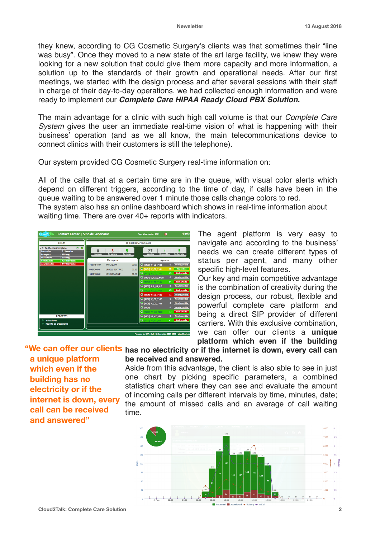they knew, according to CG Cosmetic Surgery's clients was that sometimes their "line was busy". Once they moved to a new state of the art large facility, we knew they were looking for a new solution that could give them more capacity and more information, a solution up to the standards of their growth and operational needs. After our first meetings, we started with the design process and after several sessions with their staff in charge of their day-to-day operations, we had collected enough information and were ready to implement our *Complete Care HIPAA Ready Cloud PBX Solution.*

The main advantage for a clinic with such high call volume is that our *Complete Care System* gives the user an immediate real-time vision of what is happening with their business' operation (and as we all know, the main telecommunications device to connect clinics with their customers is still the telephone).

Our system provided CG Cosmetic Surgery real-time information on:

All of the calls that at a certain time are in the queue, with visual color alerts which depend on different triggers, according to the time of day, if calls have been in the queue waiting to be answered over 1 minute those calls change colors to red.

The system also has an online dashboard which shows in real-time information about waiting time. There are over 40+ reports with indicators.



The agent platform is very easy to navigate and according to the business' needs we can create different types of status per agent, and many other specific high-level features.

Our key and main competitive advantage is the combination of creativity during the design process, our robust, flexible and powerful complete care platform and being a direct SIP provider of different carriers. With this exclusive combination, we can offer our clients a **unique platform which even if the building** 

**a unique platform which even if the building has no electricity or if the internet is down, every call can be received and answered"**

## "We can offer our clients has no electricity or if the internet is down, every call can **be received and answered.**

Aside from this advantage, the client is also able to see in just one chart by picking specific parameters, a combined statistics chart where they can see and evaluate the amount of incoming calls per different intervals by time, minutes, date; the amount of missed calls and an average of call waiting time.

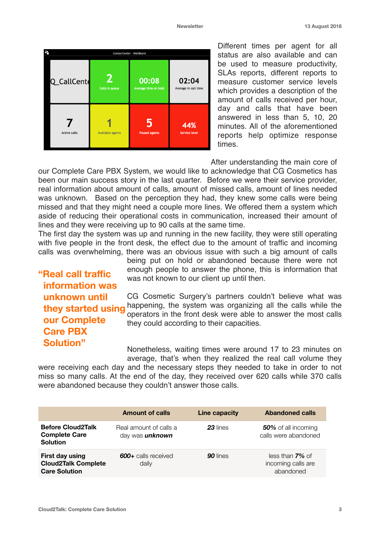

Different times per agent for all status are also available and can be used to measure productivity, SLAs reports, different reports to measure customer service levels which provides a description of the amount of calls received per hour, day and calls that have been answered in less than 5, 10, 20 minutes. All of the aforementioned reports help optimize response times.

After understanding the main core of

our Complete Care PBX System, we would like to acknowledge that CG Cosmetics has been our main success story in the last quarter. Before we were their service provider, real information about amount of calls, amount of missed calls, amount of lines needed was unknown. Based on the perception they had, they knew some calls were being missed and that they might need a couple more lines. We offered them a system which aside of reducing their operational costs in communication, increased their amount of lines and they were receiving up to 90 calls at the same time.

The first day the system was up and running in the new facility, they were still operating with five people in the front desk, the effect due to the amount of traffic and incoming calls was overwhelming, there was an obvious issue with such a big amount of calls

**"Real call traffic information was unknown until they started using our Complete Care PBX Solution"**

being put on hold or abandoned because there were not enough people to answer the phone, this is information that was not known to our client up until then.

CG Cosmetic Surgery's partners couldn't believe what was happening, the system was organizing all the calls while the operators in the front desk were able to answer the most calls they could according to their capacities.

Nonetheless, waiting times were around 17 to 23 minutes on average, that's when they realized the real call volume they

were receiving each day and the necessary steps they needed to take in order to not miss so many calls. At the end of the day, they received over 620 calls while 370 calls were abandoned because they couldn't answer those calls.

|                                                                       | <b>Amount of calls</b>                           | Line capacity | <b>Abandoned calls</b>                                |
|-----------------------------------------------------------------------|--------------------------------------------------|---------------|-------------------------------------------------------|
| <b>Before Cloud2Talk</b><br><b>Complete Care</b><br><b>Solution</b>   | Real amount of calls a<br>day was <i>unknown</i> | 23 lines      | 50% of all incoming<br>calls were abandoned           |
| First day using<br><b>Cloud2Talk Complete</b><br><b>Care Solution</b> | 600+ calls received<br>dailv                     | 90 lines      | less than $7\%$ of<br>incoming calls are<br>abandoned |